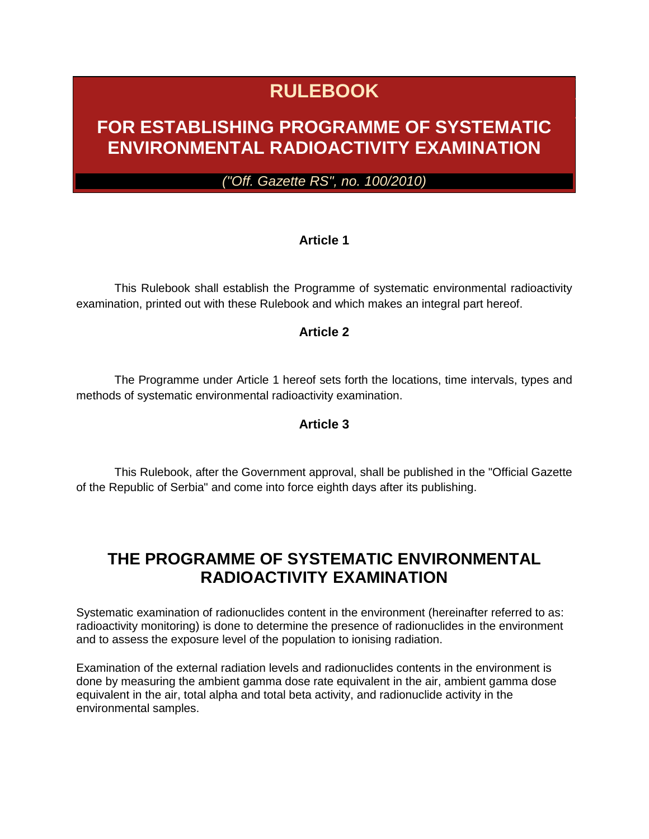# **RULEBOOK**

## **FOR ESTABLISHING PROGRAMME OF SYSTEMATIC ENVIRONMENTAL RADIOACTIVITY EXAMINATION**

*("Off. Gazette RS", no. 100/2010)*

#### **Article 1**

This Rulebook shall establish the Programme of systematic environmental radioactivity examination, printed out with these Rulebook and which makes an integral part hereof.

#### **Article 2**

The Programme under Article 1 hereof sets forth the locations, time intervals, types and methods of systematic environmental radioactivity examination.

#### **Article 3**

This Rulebook, after the Government approval, shall be published in the "Official Gazette of the Republic of Serbia" and come into force eighth days after its publishing.

## **THE PROGRAMME OF SYSTEMATIC ENVIRONMENTAL RADIOACTIVITY EXAMINATION**

Systematic examination of radionuclides content in the environment (hereinafter referred to as: radioactivity monitoring) is done to determine the presence of radionuclides in the environment and to assess the exposure level of the population to ionising radiation.

Examination of the external radiation levels and radionuclides contents in the environment is done by measuring the ambient gamma dose rate equivalent in the air, ambient gamma dose equivalent in the air, total alpha and total beta activity, and radionuclide activity in the environmental samples.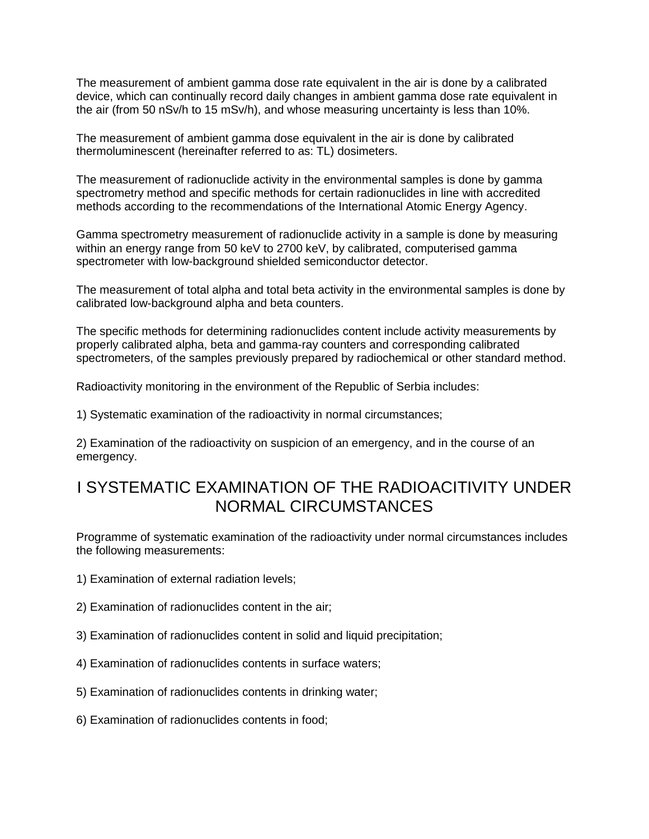The measurement of ambient gamma dose rate equivalent in the air is done by a calibrated device, which can continually record daily changes in ambient gamma dose rate equivalent in the air (from 50 nSv/h to 15 mSv/h), and whose measuring uncertainty is less than 10%.

The measurement of ambient gamma dose equivalent in the air is done by calibrated thermoluminescent (hereinafter referred to as: TL) dosimeters.

The measurement of radionuclide activity in the environmental samples is done by gamma spectrometry method and specific methods for certain radionuclides in line with accredited methods according to the recommendations of the International Atomic Energy Agency.

Gamma spectrometry measurement of radionuclide activity in a sample is done by measuring within an energy range from 50 keV to 2700 keV, by calibrated, computerised gamma spectrometer with low-background shielded semiconductor detector.

The measurement of total alpha and total beta activity in the environmental samples is done by calibrated low-background alpha and beta counters.

The specific methods for determining radionuclides content include activity measurements by properly calibrated alpha, beta and gamma-ray counters and corresponding calibrated spectrometers, of the samples previously prepared by radiochemical or other standard method.

Radioactivity monitoring in the environment of the Republic of Serbia includes:

1) Systematic examination of the radioactivity in normal circumstances;

2) Examination of the radioactivity on suspicion of an emergency, and in the course of an emergency.

## I SYSTEMATIC EXAMINATION OF THE RADIOACITIVITY UNDER NORMAL CIRCUMSTANCES

Programme of systematic examination of the radioactivity under normal circumstances includes the following measurements:

- 1) Examination of external radiation levels;
- 2) Examination of radionuclides content in the air;
- 3) Examination of radionuclides content in solid and liquid precipitation;
- 4) Examination of radionuclides contents in surface waters;
- 5) Examination of radionuclides contents in drinking water;
- 6) Examination of radionuclides contents in food;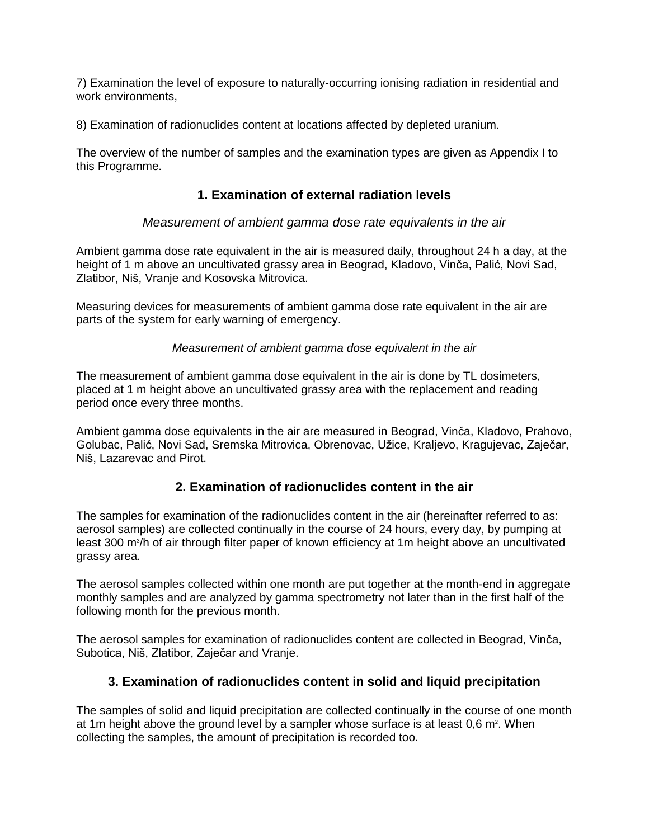7) Examination the level of exposure to naturally-occurring ionising radiation in residential and work environments.

8) Examination of radionuclides content at locations affected by depleted uranium.

The overview of the number of samples and the examination types are given as Appendix I to this Programme.

#### **1. Examination of external radiation levels**

#### *Measurement of ambient gamma dose rate equivalents in the air*

Ambient gamma dose rate equivalent in the air is measured daily, throughout 24 h a day, at the height of 1 m above an uncultivated grassy area in Beograd, Kladovo, Vinča, Palić, Novi Sad, Zlatibor, Niš, Vranje and Kosovska Mitrovica.

Measuring devices for measurements of ambient gamma dose rate equivalent in the air are parts of the system for early warning of emergency.

*Measurement of ambient gamma dose equivalent in the air*

The measurement of ambient gamma dose equivalent in the air is done by TL dosimeters, placed at 1 m height above an uncultivated grassy area with the replacement and reading period once every three months.

Ambient gamma dose equivalents in the air are measured in Beograd, Vinča, Kladovo, Prahovo, Golubac, Palić, Novi Sad, Sremska Mitrovica, Obrenovac, Užice, Kraljevo, Kragujevac, Zaječar, Niš, Lazarevac and Pirot.

#### **2. Examination of radionuclides content in the air**

The samples for examination of the radionuclides content in the air (hereinafter referred to as: aerosol samples) are collected continually in the course of 24 hours, every day, by pumping at least 300 m<sup>3</sup>/h of air through filter paper of known efficiency at 1m height above an uncultivated grassy area.

The aerosol samples collected within one month are put together at the month-end in aggregate monthly samples and are analyzed by gamma spectrometry not later than in the first half of the following month for the previous month.

The aerosol samples for examination of radionuclides content are collected in Beograd, Vinča, Subotica, Niš, Zlatibor, Zaječar and Vranje.

#### **3. Examination of radionuclides content in solid and liquid precipitation**

The samples of solid and liquid precipitation are collected continually in the course of one month at 1m height above the ground level by a sampler whose surface is at least 0,6 m<sup>2</sup>. When collecting the samples, the amount of precipitation is recorded too.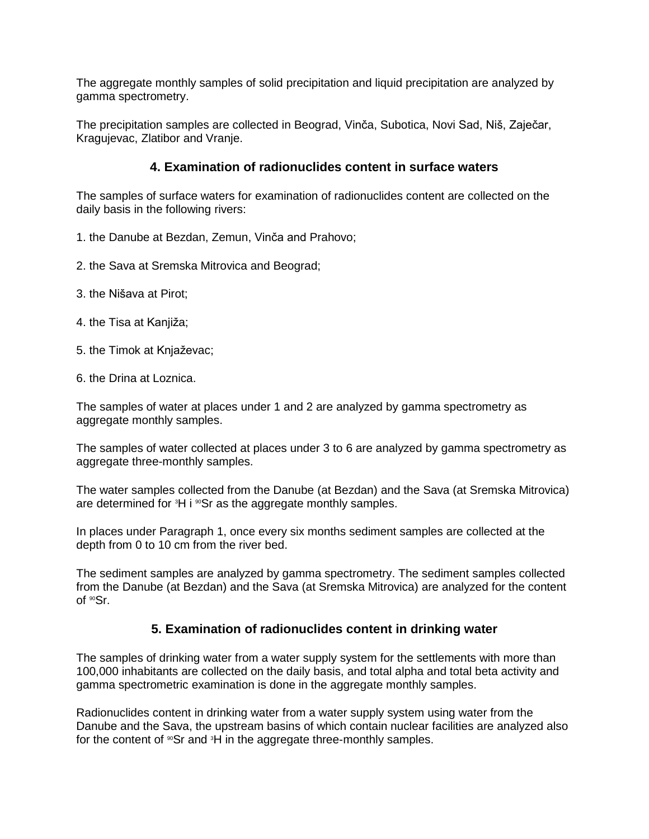The aggregate monthly samples of solid precipitation and liquid precipitation are analyzed by gamma spectrometry.

The precipitation samples are collected in Beograd, Vinča, Subotica, Novi Sad, Niš, Zaječar, Kragujevac, Zlatibor and Vranje.

#### **4. Examination of radionuclides content in surface waters**

The samples of surface waters for examination of radionuclides content are collected on the daily basis in the following rivers:

- 1. the Danube at Bezdan, Zemun, Vinča and Prahovo;
- 2. the Sava at Sremska Mitrovica and Beograd;
- 3. the Nišava at Pirot;
- 4. the Tisa at Kanjiža;
- 5. the Timok at Knjaževac;
- 6. the Drina at Loznica.

The samples of water at places under 1 and 2 are analyzed by gamma spectrometry as aggregate monthly samples.

The samples of water collected at places under 3 to 6 are analyzed by gamma spectrometry as aggregate three-monthly samples.

The water samples collected from the Danube (at Bezdan) and the Sava (at Sremska Mitrovica) are determined for  ${}^{3}H$  i  ${}^{80}Sr$  as the aggregate monthly samples.

In places under Paragraph 1, once every six months sediment samples are collected at the depth from 0 to 10 cm from the river bed.

The sediment samples are analyzed by gamma spectrometry. The sediment samples collected from the Danube (at Bezdan) and the Sava (at Sremska Mitrovica) are analyzed for the content of <sup>90</sup>Sr.

#### **5. Examination of radionuclides content in drinking water**

The samples of drinking water from a water supply system for the settlements with more than 100,000 inhabitants are collected on the daily basis, and total alpha and total beta activity and gamma spectrometric examination is done in the aggregate monthly samples.

Radionuclides content in drinking water from a water supply system using water from the Danube and the Sava, the upstream basins of which contain nuclear facilities are analyzed also for the content of  $^{\circ}$ Sr and  $^{\circ}$ H in the aggregate three-monthly samples.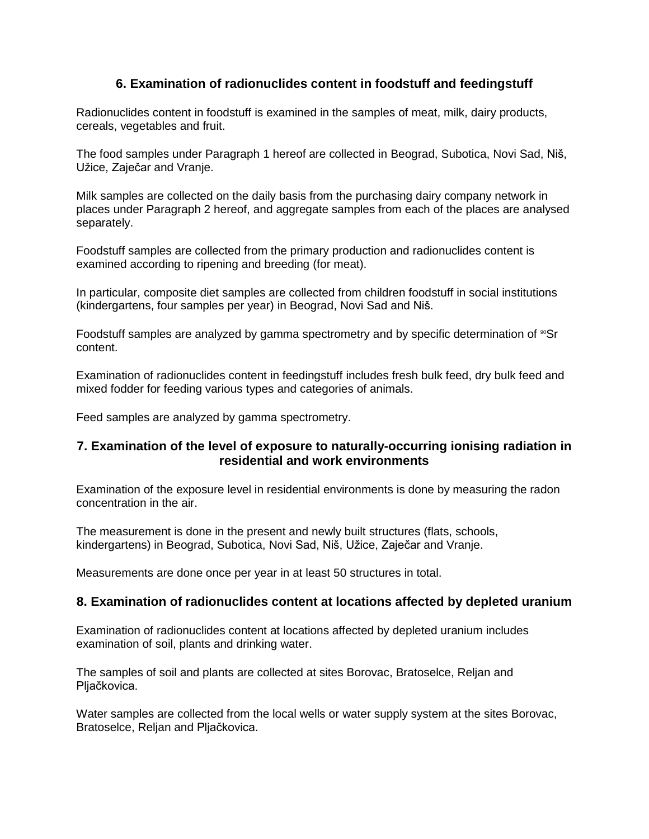#### **6. Examination of radionuclides content in foodstuff and feedingstuff**

Radionuclides content in foodstuff is examined in the samples of meat, milk, dairy products, cereals, vegetables and fruit.

The food samples under Paragraph 1 hereof are collected in Beograd, Subotica, Novi Sad, Niš, Užice, Zaječar and Vranje.

Milk samples are collected on the daily basis from the purchasing dairy company network in places under Paragraph 2 hereof, and aggregate samples from each of the places are analysed separately.

Foodstuff samples are collected from the primary production and radionuclides content is examined according to ripening and breeding (for meat).

In particular, composite diet samples are collected from children foodstuff in social institutions (kindergartens, four samples per year) in Beograd, Novi Sad and Niš.

Foodstuff samples are analyzed by gamma spectrometry and by specific determination of  $\sqrt{9}$ Sr content.

Examination of radionuclides content in feedingstuff includes fresh bulk feed, dry bulk feed and mixed fodder for feeding various types and categories of animals.

Feed samples are analyzed by gamma spectrometry.

#### **7. Examination of the level of exposure to naturally-occurring ionising radiation in residential and work environments**

Examination of the exposure level in residential environments is done by measuring the radon concentration in the air.

The measurement is done in the present and newly built structures (flats, schools, kindergartens) in Beograd, Subotica, Novi Sad, Niš, Užice, Zaječar and Vranje.

Measurements are done once per year in at least 50 structures in total.

#### **8. Examination of radionuclides content at locations affected by depleted uranium**

Examination of radionuclides content at locations affected by depleted uranium includes examination of soil, plants and drinking water.

The samples of soil and plants are collected at sites Borovac, Bratoselce, Reljan and Pljačkovica.

Water samples are collected from the local wells or water supply system at the sites Borovac, Bratoselce, Reljan and Pljačkovica.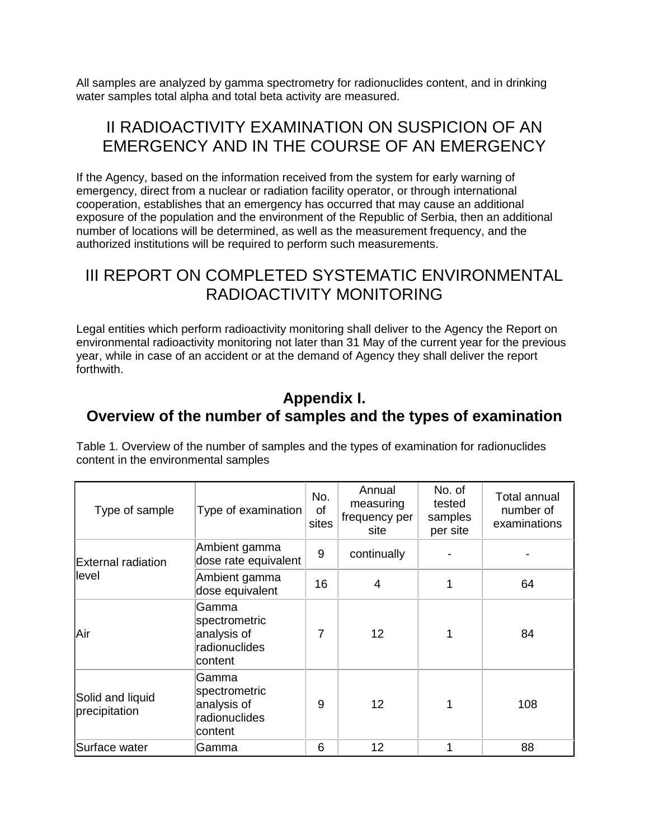All samples are analyzed by gamma spectrometry for radionuclides content, and in drinking water samples total alpha and total beta activity are measured.

## II RADIOACTIVITY EXAMINATION ON SUSPICION OF AN EMERGENCY AND IN THE COURSE OF AN EMERGENCY

If the Agency, based on the information received from the system for early warning of emergency, direct from a nuclear or radiation facility operator, or through international cooperation, establishes that an emergency has occurred that may cause an additional exposure of the population and the environment of the Republic of Serbia, then an additional number of locations will be determined, as well as the measurement frequency, and the authorized institutions will be required to perform such measurements.

## III REPORT ON COMPLETED SYSTEMATIC ENVIRONMENTAL RADIOACTIVITY MONITORING

Legal entities which perform radioactivity monitoring shall deliver to the Agency the Report on environmental radioactivity monitoring not later than 31 May of the current year for the previous year, while in case of an accident or at the demand of Agency they shall deliver the report forthwith.

### **Appendix I. Overview of the number of samples and the types of examination**

Table 1. Overview of the number of samples and the types of examination for radionuclides content in the environmental samples

| Type of sample                    | Type of examination                                               | No.<br>of<br>sites | Annual<br>measuring<br>frequency per<br>site | No. of<br>tested<br>samples<br>per site | <b>Total annual</b><br>number of<br>examinations |
|-----------------------------------|-------------------------------------------------------------------|--------------------|----------------------------------------------|-----------------------------------------|--------------------------------------------------|
| External radiation<br>level       | Ambient gamma<br>dose rate equivalent                             | 9                  | continually                                  |                                         |                                                  |
|                                   | Ambient gamma<br>dose equivalent                                  | 16                 | 4                                            | 1                                       | 64                                               |
| Air                               | Gamma<br>spectrometric<br>analysis of<br>radionuclides<br>content | 7                  | 12                                           | 1                                       | 84                                               |
| Solid and liquid<br>precipitation | Gamma<br>spectrometric<br>analysis of<br>radionuclides<br>content | 9                  | 12                                           | 1                                       | 108                                              |
| Surface water                     | Gamma                                                             | 6                  | 12                                           | 1                                       | 88                                               |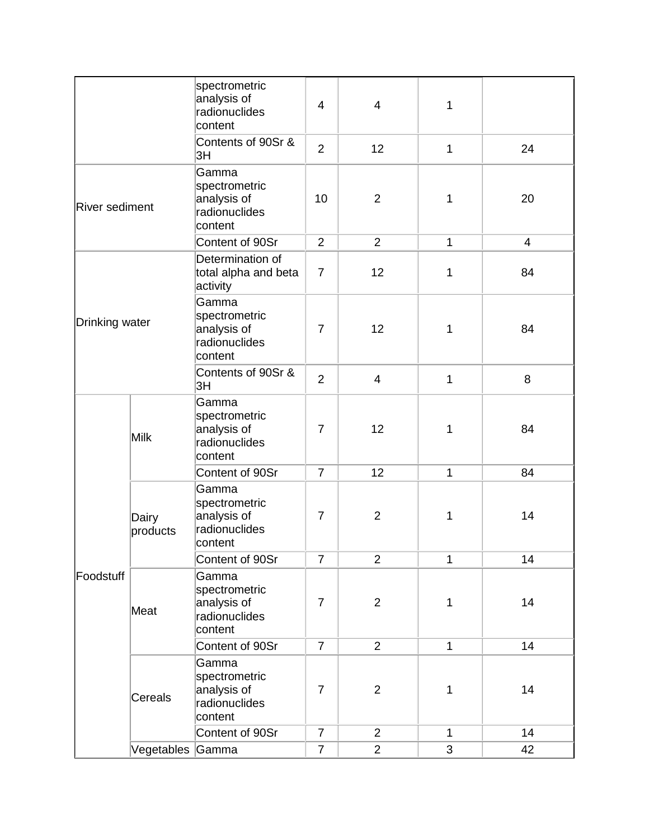|                |                   | spectrometric<br>analysis of<br>radionuclides<br>content          | $\overline{4}$ | 4              | 1            |                |
|----------------|-------------------|-------------------------------------------------------------------|----------------|----------------|--------------|----------------|
|                |                   | Contents of 90Sr &<br>3H                                          | $\overline{2}$ | 12             | $\mathbf{1}$ | 24             |
| River sediment |                   | Gamma<br>spectrometric<br>analysis of<br>radionuclides<br>content | 10             | $\overline{2}$ | 1            | 20             |
|                |                   | Content of 90Sr                                                   | 2              | $\overline{2}$ | $\mathbf{1}$ | $\overline{4}$ |
| Drinking water |                   | Determination of<br>total alpha and beta<br>activity              | $\overline{7}$ | 12             | 1            | 84             |
|                |                   | Gamma<br>spectrometric<br>analysis of<br>radionuclides<br>content | $\overline{7}$ | 12             | 1            | 84             |
|                |                   | Contents of 90Sr &<br>3H                                          | $\overline{2}$ | $\overline{4}$ | $\mathbf{1}$ | 8              |
|                | Milk              | Gamma<br>spectrometric<br>analysis of<br>radionuclides<br>content | $\overline{7}$ | 12             | 1            | 84             |
|                |                   | Content of 90Sr                                                   | $\overline{7}$ | 12             | $\mathbf{1}$ | 84             |
|                | Dairy<br>products | Gamma<br>spectrometric<br>analysis of<br>radionuclides<br>content | $\overline{7}$ | $\overline{2}$ | 1            | 14             |
|                |                   | Content of 90Sr                                                   | $\overline{7}$ | $\overline{2}$ | $\mathbf{1}$ | 14             |
| Foodstuff      | Meat              | Gamma<br>spectrometric<br>analysis of<br>radionuclides<br>content | $\overline{7}$ | $\overline{2}$ | 1            | 14             |
|                |                   | Content of 90Sr                                                   | $\overline{7}$ | $\overline{2}$ | $\mathbf{1}$ | 14             |
|                | Cereals           | Gamma<br>spectrometric<br>analysis of<br>radionuclides<br>content | $\overline{7}$ | $\overline{2}$ | 1            | 14             |
|                |                   | Content of 90Sr                                                   | $\overline{7}$ | $\overline{2}$ | $\mathbf{1}$ | 14             |
|                | Vegetables Gamma  |                                                                   | $\overline{7}$ | $\overline{2}$ | 3            | 42             |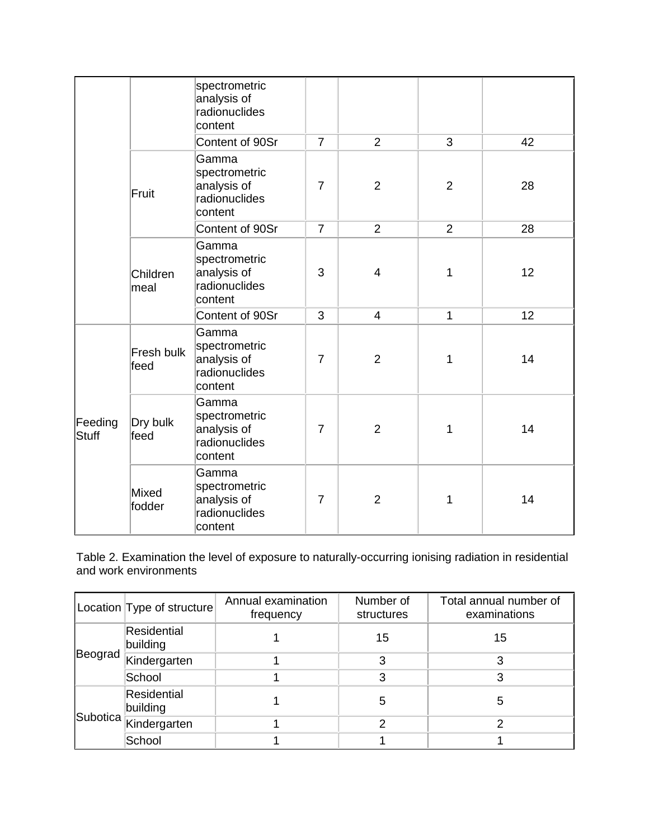|                  |                    | spectrometric<br>analysis of<br>radionuclides<br>content          |                |                |                |    |
|------------------|--------------------|-------------------------------------------------------------------|----------------|----------------|----------------|----|
|                  |                    | Content of 90Sr                                                   | $\overline{7}$ | $\overline{2}$ | 3              | 42 |
|                  | Fruit              | Gamma<br>spectrometric<br>analysis of<br>radionuclides<br>content | $\overline{7}$ | $\overline{2}$ | $\overline{2}$ | 28 |
|                  |                    | Content of 90Sr                                                   | $\overline{7}$ | $\overline{2}$ | $\overline{2}$ | 28 |
|                  | Children<br>meal   | Gamma<br>spectrometric<br>analysis of<br>radionuclides<br>content | 3              | 4              | 1              | 12 |
|                  |                    | Content of 90Sr                                                   | 3              | $\overline{4}$ | 1              | 12 |
| Feeding<br>Stuff | Fresh bulk<br>feed | Gamma<br>spectrometric<br>analysis of<br>radionuclides<br>content | $\overline{7}$ | $\overline{2}$ | 1              | 14 |
|                  | Dry bulk<br>feed   | Gamma<br>spectrometric<br>analysis of<br>radionuclides<br>content | $\overline{7}$ | $\overline{2}$ | 1              | 14 |
|                  | Mixed<br>fodder    | Gamma<br>spectrometric<br>analysis of<br>radionuclides<br>content | $\overline{7}$ | $\overline{2}$ | 1              | 14 |

Table 2. Examination the level of exposure to naturally-occurring ionising radiation in residential and work environments

|         | Location Type of structure | Annual examination<br>frequency | Number of<br>structures | Total annual number of<br>examinations |
|---------|----------------------------|---------------------------------|-------------------------|----------------------------------------|
| Beograd | Residential<br>building    |                                 | 15                      | 15                                     |
|         | Kindergarten               |                                 | 3                       |                                        |
|         | School                     |                                 | 3                       | 3                                      |
|         | Residential<br>building    |                                 | 5                       | 5                                      |
|         | Subotica Kindergarten      |                                 | っ                       | ⌒                                      |
|         | School                     |                                 |                         |                                        |